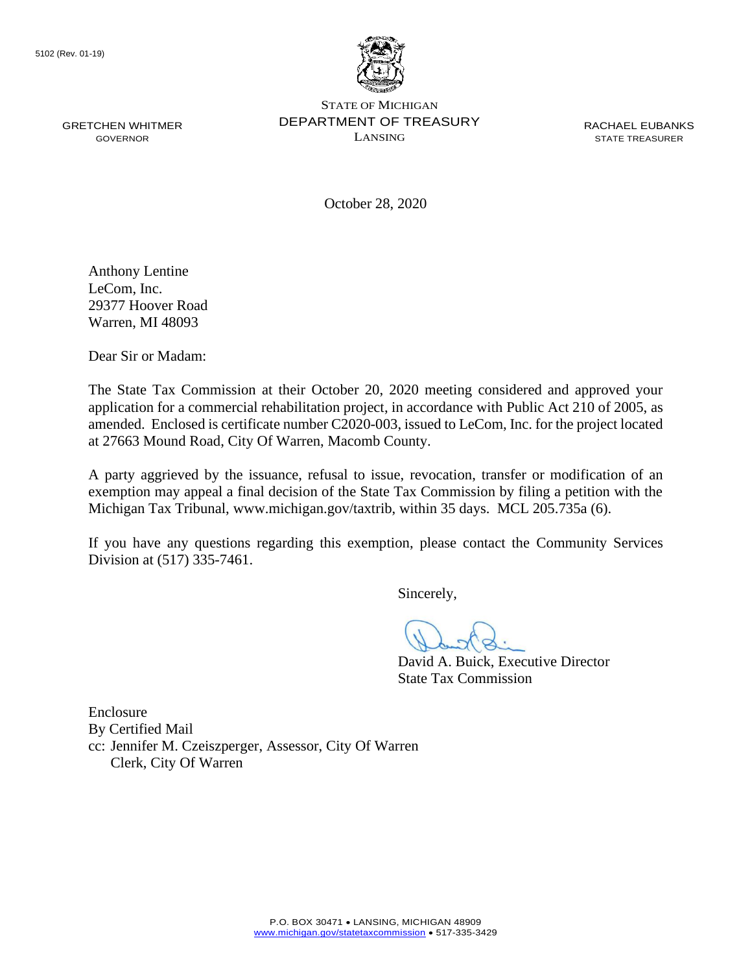

October 28, 2020

Anthony Lentine LeCom, Inc. 29377 Hoover Road Warren, MI 48093

Dear Sir or Madam:

The State Tax Commission at their October 20, 2020 meeting considered and approved your application for a commercial rehabilitation project, in accordance with Public Act 210 of 2005, as amended. Enclosed is certificate number C2020-003, issued to LeCom, Inc. for the project located at 27663 Mound Road, City Of Warren, Macomb County.

 exemption may appeal a final decision of the State Tax Commission by filing a petition with the A party aggrieved by the issuance, refusal to issue, revocation, transfer or modification of an Michigan Tax Tribunal, <www.michigan.gov/taxtrib>, within 35 days. MCL 205.735a (6).

 If you have any questions regarding this exemption, please contact the Community Services Division at (517) 335-7461.

Sincerely,

David A. Buick, Executive Director State Tax Commission

Enclosure By Certified Mail cc: Jennifer M. Czeiszperger, Assessor, City Of Warren Clerk, City Of Warren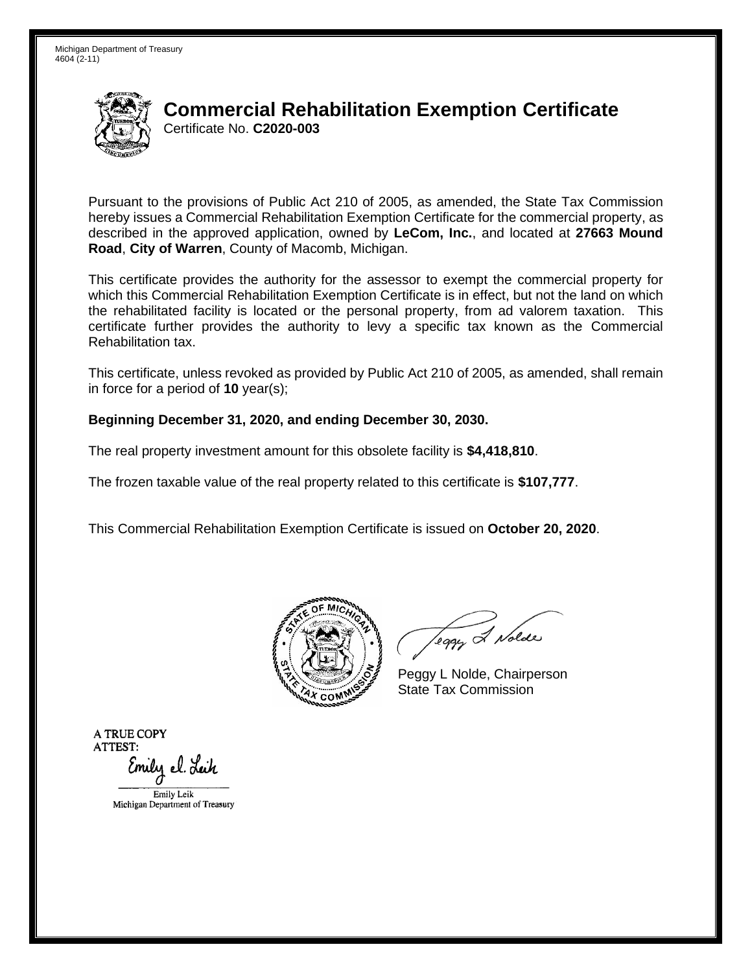

# Certificate No. **C2020-003 Commercial Rehabilitation Exemption Certificate**

 Pursuant to the provisions of Public Act 210 of 2005, as amended, the State Tax Commission hereby issues a Commercial Rehabilitation Exemption Certificate for the commercial property, as described in the approved application, owned by **LeCom, Inc.**, and located at **27663 Mound Road**, **City of Warren**, County of Macomb, Michigan.

 This certificate provides the authority for the assessor to exempt the commercial property for which this Commercial Rehabilitation Exemption Certificate is in effect, but not the land on which the rehabilitated facility is located or the personal property, from ad valorem taxation. This certificate further provides the authority to levy a specific tax known as the Commercial Rehabilitation tax.

This certificate, unless revoked as provided by Public Act 210 of 2005, as amended, shall remain in force for a period of **10** year(s);

#### **Beginning December 31, 2020, and ending December 30, 2030.**

The real property investment amount for this obsolete facility is **\$4,418,810**.

The frozen taxable value of the real property related to this certificate is **\$107,777**.

This Commercial Rehabilitation Exemption Certificate is issued on **October 20, 2020**.



leggy & Nolde

Peggy L Nolde, Chairperson State Tax Commission

**ATRUECOPY ATTEST:**  Emily el. Leik EmilyLcik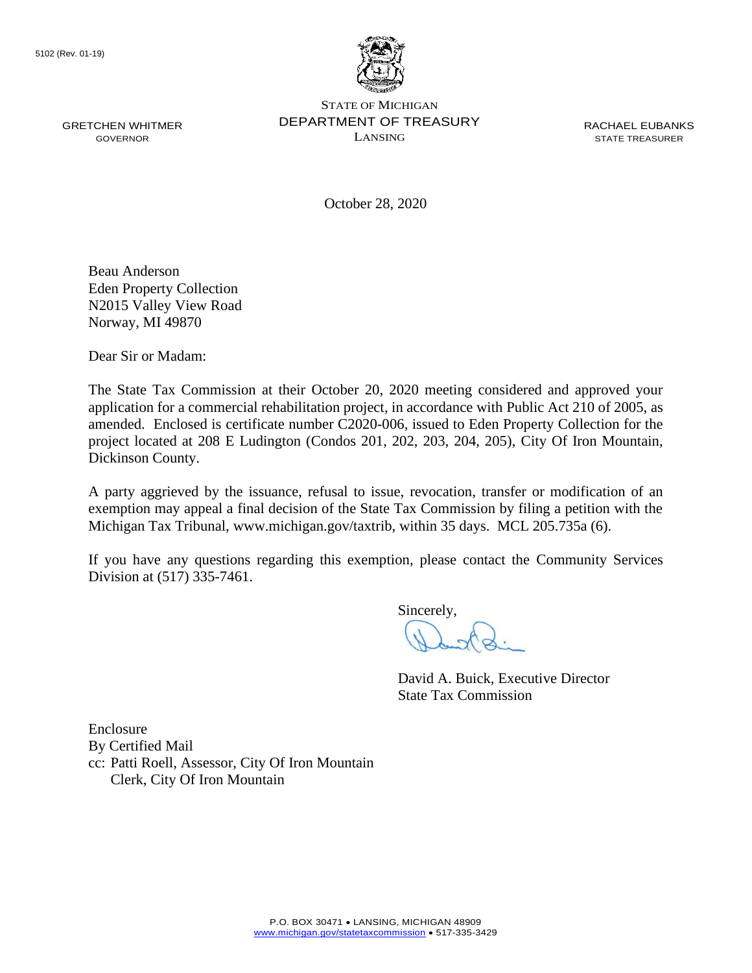

October 28, 2020

Beau Anderson Eden Property Collection N2015 Valley View Road Norway, MI 49870

Dear Sir or Madam:

 amended. Enclosed is certificate number C2020-006, issued to Eden Property Collection for the The State Tax Commission at their October 20, 2020 meeting considered and approved your application for a commercial rehabilitation project, in accordance with Public Act 210 of 2005, as project located at 208 E Ludington (Condos 201, 202, 203, 204, 205), City Of Iron Mountain, Dickinson County.

 exemption may appeal a final decision of the State Tax Commission by filing a petition with the A party aggrieved by the issuance, refusal to issue, revocation, transfer or modification of an Michigan Tax Tribunal, <www.michigan.gov/taxtrib>, within 35 days. MCL 205.735a (6).

 If you have any questions regarding this exemption, please contact the Community Services Division at (517) 335-7461.

Sincerely,

David A. Buick, Executive Director State Tax Commission

Enclosure By Certified Mail cc: Patti Roell, Assessor, City Of Iron Mountain Clerk, City Of Iron Mountain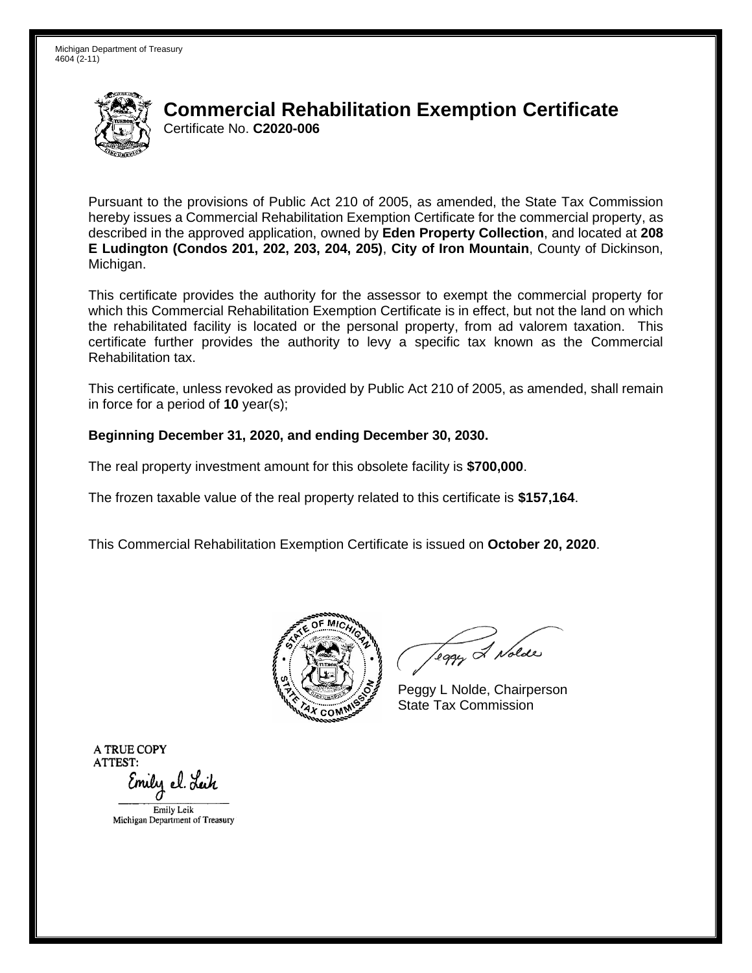

# Certificate No. **C2020-006 Commercial Rehabilitation Exemption Certificate**

 Pursuant to the provisions of Public Act 210 of 2005, as amended, the State Tax Commission hereby issues a Commercial Rehabilitation Exemption Certificate for the commercial property, as described in the approved application, owned by **Eden Property Collection**, and located at **208 E Ludington (Condos 201, 202, 203, 204, 205)**, **City of Iron Mountain**, County of Dickinson, Michigan.

Michigan.<br>This certificate provides the authority for the assessor to exempt the commercial property for which this Commercial Rehabilitation Exemption Certificate is in effect, but not the land on which the rehabilitated facility is located or the personal property, from ad valorem taxation. This certificate further provides the authority to levy a specific tax known as the Commercial Rehabilitation tax.

This certificate, unless revoked as provided by Public Act 210 of 2005, as amended, shall remain in force for a period of **10** year(s);

### **Beginning December 31, 2020, and ending December 30, 2030.**

The real property investment amount for this obsolete facility is **\$700,000**.

The frozen taxable value of the real property related to this certificate is **\$157,164**.

This Commercial Rehabilitation Exemption Certificate is issued on **October 20, 2020**.



Teggy & Nolde

Peggy L Nolde, Chairperson State Tax Commission

**ATRUECOPY ATTEST:**  Emily el. L**e**ik

EmilyLcik Michigan Department of Treasucy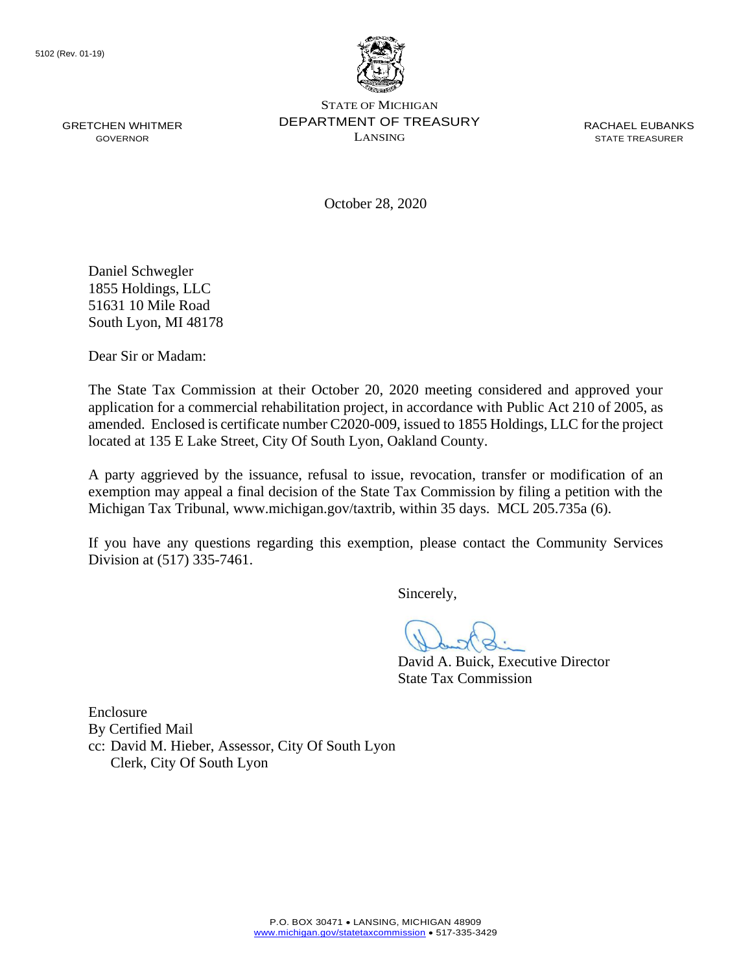

October 28, 2020

Daniel Schwegler 1855 Holdings, LLC 51631 10 Mile Road South Lyon, MI 48178

Dear Sir or Madam:

The State Tax Commission at their October 20, 2020 meeting considered and approved your application for a commercial rehabilitation project, in accordance with Public Act 210 of 2005, as amended. Enclosed is certificate number C2020-009, issued to 1855 Holdings, LLC for the project located at 135 E Lake Street, City Of South Lyon, Oakland County.

 exemption may appeal a final decision of the State Tax Commission by filing a petition with the A party aggrieved by the issuance, refusal to issue, revocation, transfer or modification of an Michigan Tax Tribunal, <www.michigan.gov/taxtrib>, within 35 days. MCL 205.735a (6).

 If you have any questions regarding this exemption, please contact the Community Services Division at (517) 335-7461.

Sincerely,

David A. Buick, Executive Director State Tax Commission

Enclosure By Certified Mail cc: David M. Hieber, Assessor, City Of South Lyon Clerk, City Of South Lyon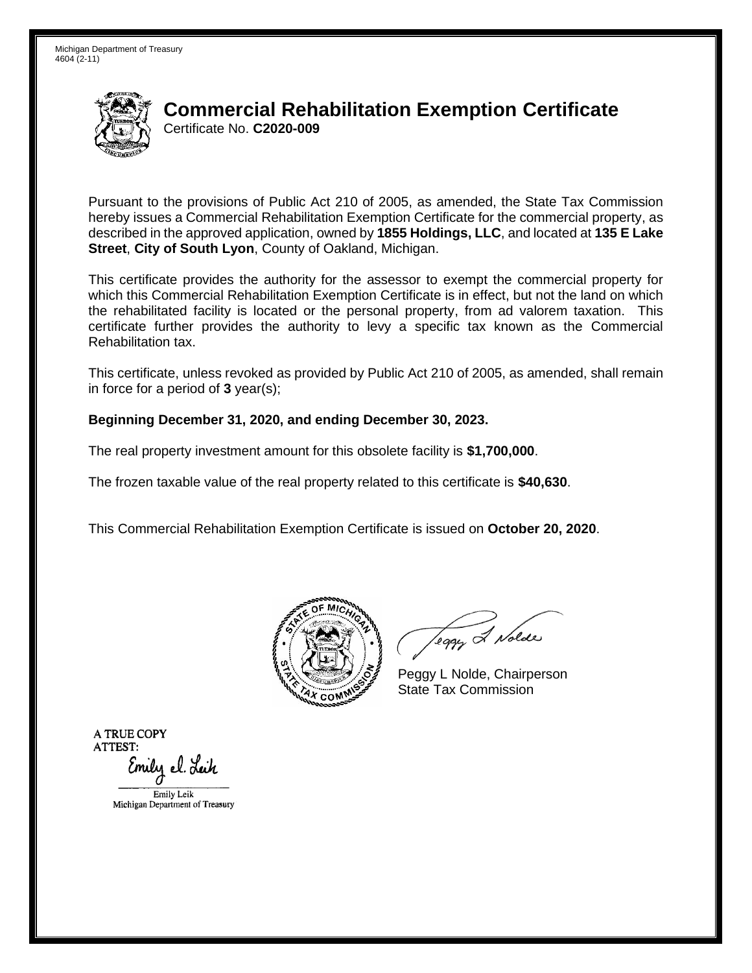

# Certificate No. **C2020-009 Commercial Rehabilitation Exemption Certificate**

 Pursuant to the provisions of Public Act 210 of 2005, as amended, the State Tax Commission hereby issues a Commercial Rehabilitation Exemption Certificate for the commercial property, as described in the approved application, owned by **1855 Holdings, LLC**, and located at **135 E Lake Street**, **City of South Lyon**, County of Oakland, Michigan.

 This certificate provides the authority for the assessor to exempt the commercial property for which this Commercial Rehabilitation Exemption Certificate is in effect, but not the land on which the rehabilitated facility is located or the personal property, from ad valorem taxation. This certificate further provides the authority to levy a specific tax known as the Commercial Rehabilitation tax.

This certificate, unless revoked as provided by Public Act 210 of 2005, as amended, shall remain in force for a period of **3** year(s);

### **Beginning December 31, 2020, and ending December 30, 2023.**

The real property investment amount for this obsolete facility is **\$1,700,000**.

The frozen taxable value of the real property related to this certificate is **\$40,630**.

This Commercial Rehabilitation Exemption Certificate is issued on **October 20, 2020**.



leggy & Nolde

Peggy L Nolde, Chairperson State Tax Commission

**ATRUECOPY ATTEST:**  Emily el. Leik EmilyLcik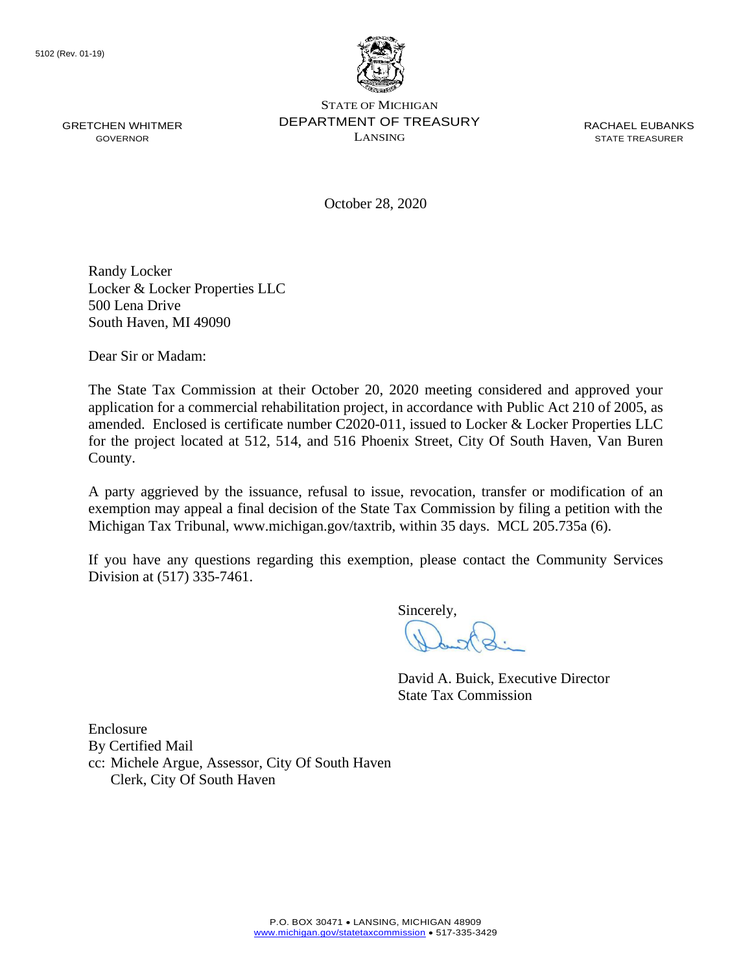

October 28, 2020

Randy Locker Locker & Locker Properties LLC 500 Lena Drive South Haven, MI 49090

Dear Sir or Madam:

The State Tax Commission at their October 20, 2020 meeting considered and approved your application for a commercial rehabilitation project, in accordance with Public Act 210 of 2005, as amended. Enclosed is certificate number C2020-011, issued to Locker & Locker Properties LLC for the project located at 512, 514, and 516 Phoenix Street, City Of South Haven, Van Buren County.

 exemption may appeal a final decision of the State Tax Commission by filing a petition with the A party aggrieved by the issuance, refusal to issue, revocation, transfer or modification of an Michigan Tax Tribunal, <www.michigan.gov/taxtrib>, within 35 days. MCL 205.735a (6).

 If you have any questions regarding this exemption, please contact the Community Services Division at (517) 335-7461.

Sincerely,

David A. Buick, Executive Director State Tax Commission

Enclosure By Certified Mail cc: Michele Argue, Assessor, City Of South Haven Clerk, City Of South Haven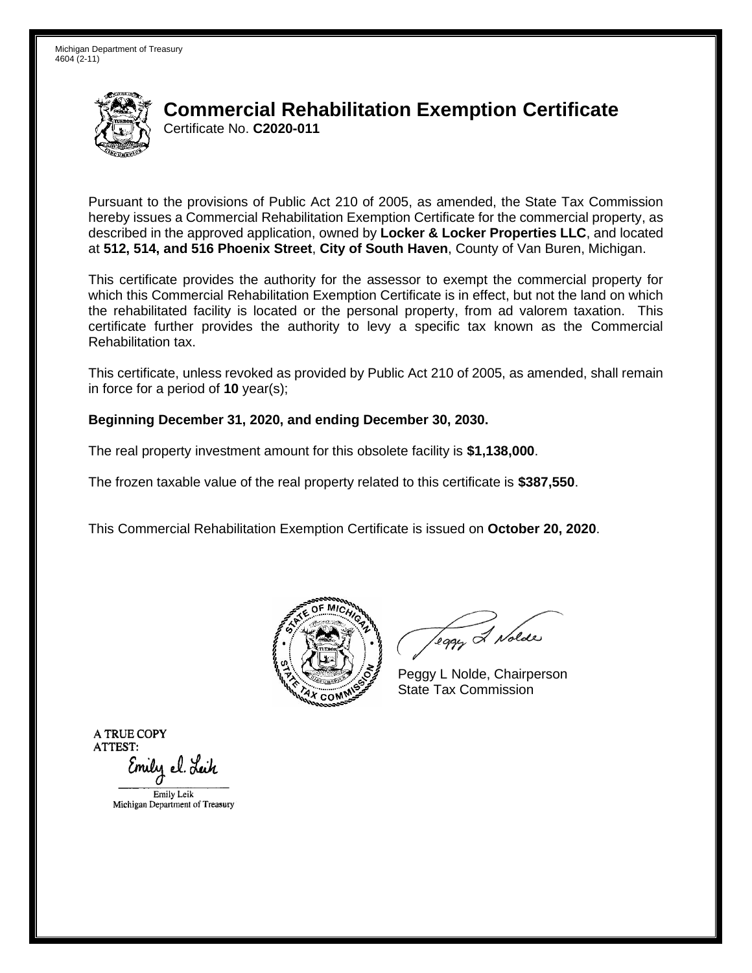Michigan Department of Treasury 4604 (2-11)



### Certificate No. **C2020-011 Commercial Rehabilitation Exemption Certificate**

 Pursuant to the provisions of Public Act 210 of 2005, as amended, the State Tax Commission hereby issues a Commercial Rehabilitation Exemption Certificate for the commercial property, as described in the approved application, owned by **Locker & Locker Properties LLC**, and located  at **512, 514, and 516 Phoenix Street**, **City of South Haven**, County of Van Buren, Michigan.

 This certificate provides the authority for the assessor to exempt the commercial property for which this Commercial Rehabilitation Exemption Certificate is in effect, but not the land on which the rehabilitated facility is located or the personal property, from ad valorem taxation. This certificate further provides the authority to levy a specific tax known as the Commercial Rehabilitation tax.

This certificate, unless revoked as provided by Public Act 210 of 2005, as amended, shall remain in force for a period of **10** year(s);

#### **Beginning December 31, 2020, and ending December 30, 2030.**

The real property investment amount for this obsolete facility is **\$1,138,000**.

The frozen taxable value of the real property related to this certificate is **\$387,550**.

This Commercial Rehabilitation Exemption Certificate is issued on **October 20, 2020**.



leggy & Nolde

Peggy L Nolde, Chairperson State Tax Commission

**ATRUECOPY ATTEST:**  Emily el. Leik EmilyLcik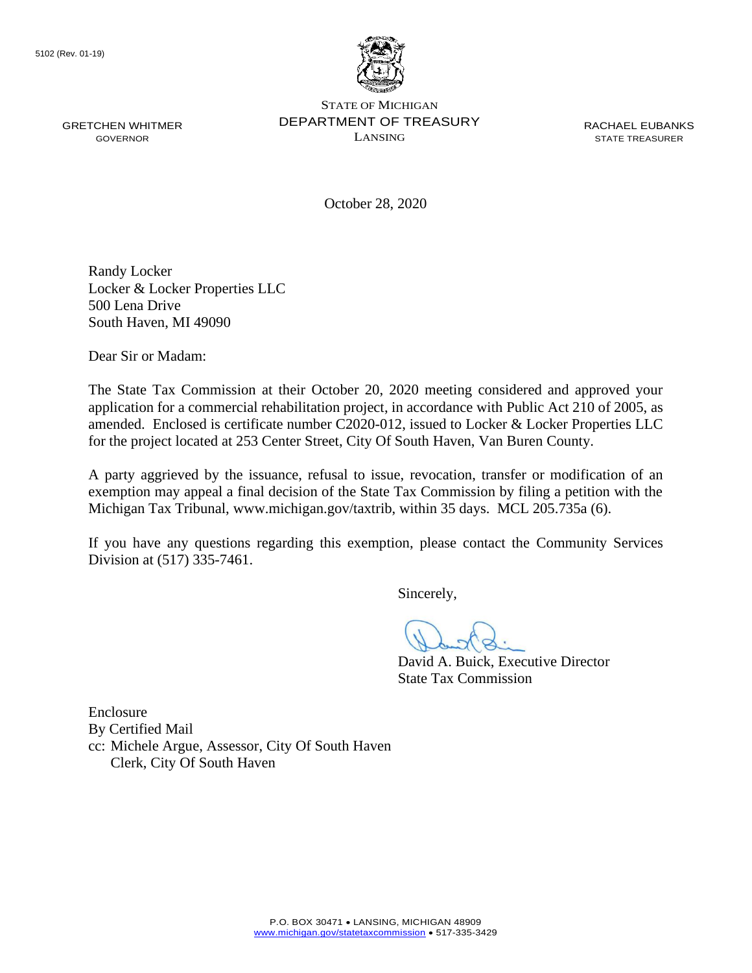

October 28, 2020

Randy Locker Locker & Locker Properties LLC 500 Lena Drive South Haven, MI 49090

Dear Sir or Madam:

The State Tax Commission at their October 20, 2020 meeting considered and approved your application for a commercial rehabilitation project, in accordance with Public Act 210 of 2005, as amended. Enclosed is certificate number C2020-012, issued to Locker & Locker Properties LLC for the project located at 253 Center Street, City Of South Haven, Van Buren County.

 exemption may appeal a final decision of the State Tax Commission by filing a petition with the A party aggrieved by the issuance, refusal to issue, revocation, transfer or modification of an Michigan Tax Tribunal, <www.michigan.gov/taxtrib>, within 35 days. MCL 205.735a (6).

 If you have any questions regarding this exemption, please contact the Community Services Division at (517) 335-7461.

Sincerely,

David A. Buick, Executive Director State Tax Commission

Enclosure By Certified Mail cc: Michele Argue, Assessor, City Of South Haven Clerk, City Of South Haven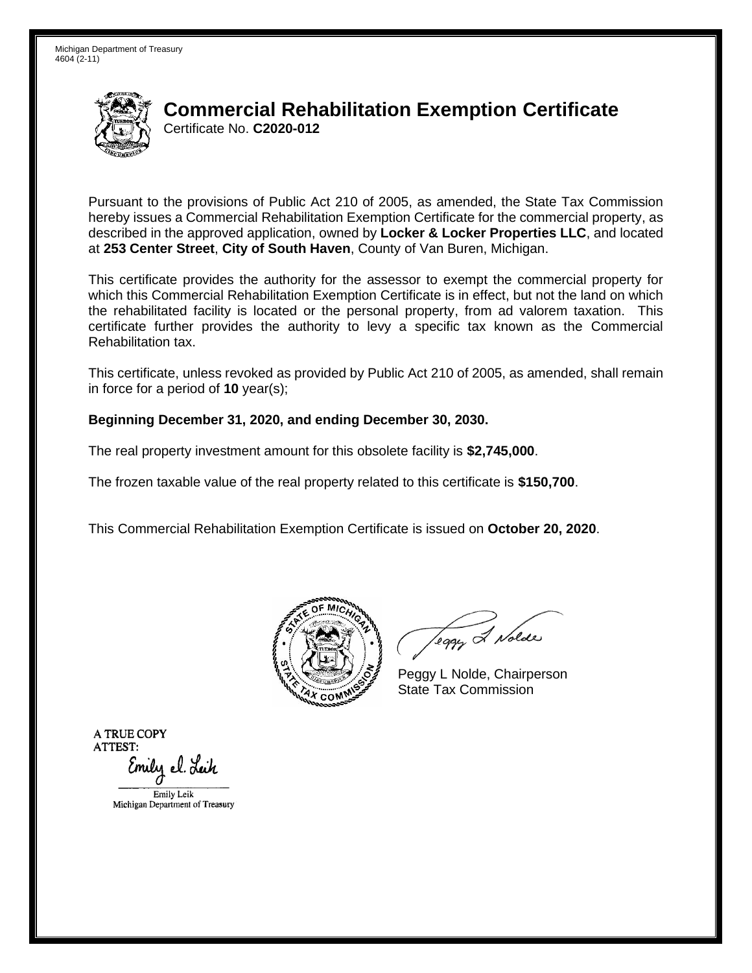Michigan Department of Treasury 4604 (2-11)



# Certificate No. **C2020-012 Commercial Rehabilitation Exemption Certificate**

 Pursuant to the provisions of Public Act 210 of 2005, as amended, the State Tax Commission hereby issues a Commercial Rehabilitation Exemption Certificate for the commercial property, as described in the approved application, owned by **Locker & Locker Properties LLC**, and located  at **253 Center Street**, **City of South Haven**, County of Van Buren, Michigan.

 This certificate provides the authority for the assessor to exempt the commercial property for which this Commercial Rehabilitation Exemption Certificate is in effect, but not the land on which the rehabilitated facility is located or the personal property, from ad valorem taxation. This certificate further provides the authority to levy a specific tax known as the Commercial Rehabilitation tax.

This certificate, unless revoked as provided by Public Act 210 of 2005, as amended, shall remain in force for a period of **10** year(s);

#### **Beginning December 31, 2020, and ending December 30, 2030.**

The real property investment amount for this obsolete facility is **\$2,745,000**.

The frozen taxable value of the real property related to this certificate is **\$150,700**.

This Commercial Rehabilitation Exemption Certificate is issued on **October 20, 2020**.



leggy & Nolde

Peggy L Nolde, Chairperson State Tax Commission

**ATRUECOPY ATTEST:**  Emily el. Leik EmilyLcik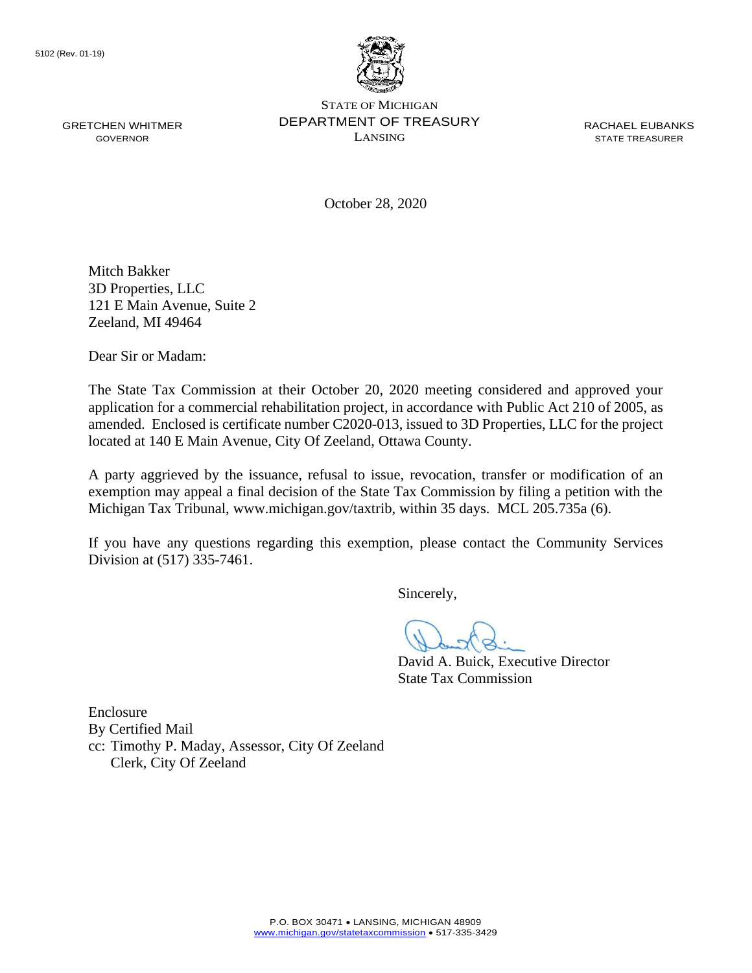

GRETCHEN WHITMER **DEPARTMENT OF TREASURY** RACHAEL EUBANKS STATE OF MICHIGAN GOVERNOR LANSING STATE TREASURER

October 28, 2020

Mitch Bakker 3D Properties, LLC 121 E Main Avenue, Suite 2 Zeeland, MI 49464

Dear Sir or Madam:

 amended. Enclosed is certificate number C2020-013, issued to 3D Properties, LLC for the project The State Tax Commission at their October 20, 2020 meeting considered and approved your application for a commercial rehabilitation project, in accordance with Public Act 210 of 2005, as located at 140 E Main Avenue, City Of Zeeland, Ottawa County.

 exemption may appeal a final decision of the State Tax Commission by filing a petition with the A party aggrieved by the issuance, refusal to issue, revocation, transfer or modification of an Michigan Tax Tribunal, <www.michigan.gov/taxtrib>, within 35 days. MCL 205.735a (6).

 If you have any questions regarding this exemption, please contact the Community Services Division at (517) 335-7461.

Sincerely,

David A. Buick, Executive Director State Tax Commission

Enclosure By Certified Mail cc: Timothy P. Maday, Assessor, City Of Zeeland Clerk, City Of Zeeland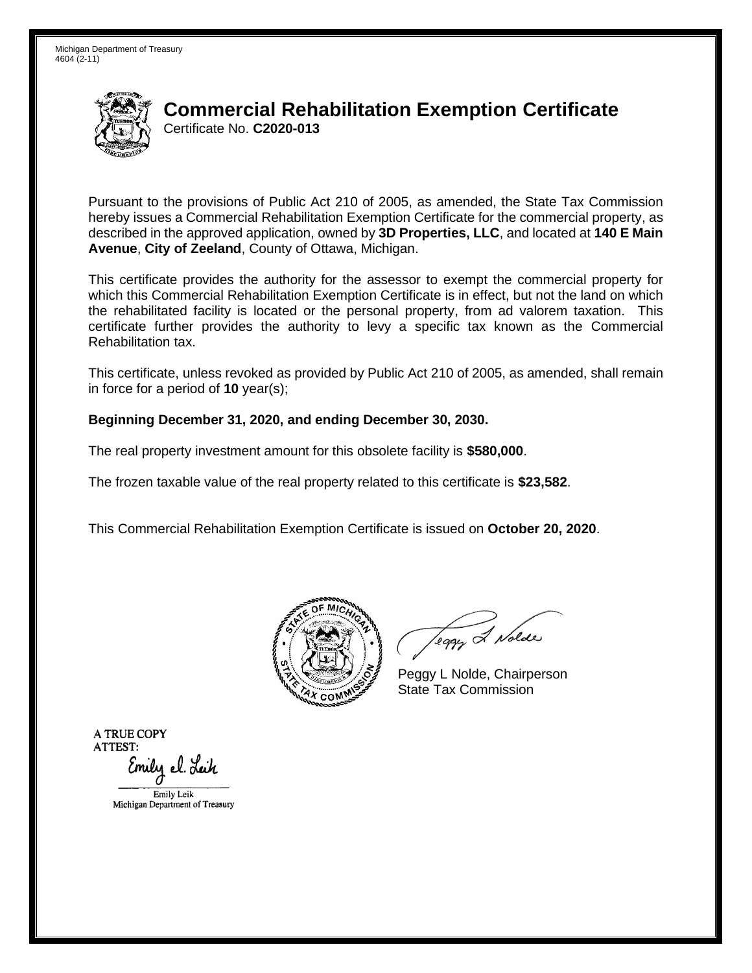

# Certificate No. **C2020-013 Commercial Rehabilitation Exemption Certificate**

 Pursuant to the provisions of Public Act 210 of 2005, as amended, the State Tax Commission hereby issues a Commercial Rehabilitation Exemption Certificate for the commercial property, as  described in the approved application, owned by **3D Properties, LLC**, and located at **140 E Main Avenue**, **City of Zeeland**, County of Ottawa, Michigan.

 This certificate provides the authority for the assessor to exempt the commercial property for which this Commercial Rehabilitation Exemption Certificate is in effect, but not the land on which the rehabilitated facility is located or the personal property, from ad valorem taxation. This certificate further provides the authority to levy a specific tax known as the Commercial Rehabilitation tax.

This certificate, unless revoked as provided by Public Act 210 of 2005, as amended, shall remain in force for a period of **10** year(s);

### **Beginning December 31, 2020, and ending December 30, 2030.**

The real property investment amount for this obsolete facility is **\$580,000**.

The frozen taxable value of the real property related to this certificate is **\$23,582**.

This Commercial Rehabilitation Exemption Certificate is issued on **October 20, 2020**.



leggy & Nolde

Peggy L Nolde, Chairperson State Tax Commission

**ATRUECOPY ATTEST:**  Emily el. Leik EmilyLcik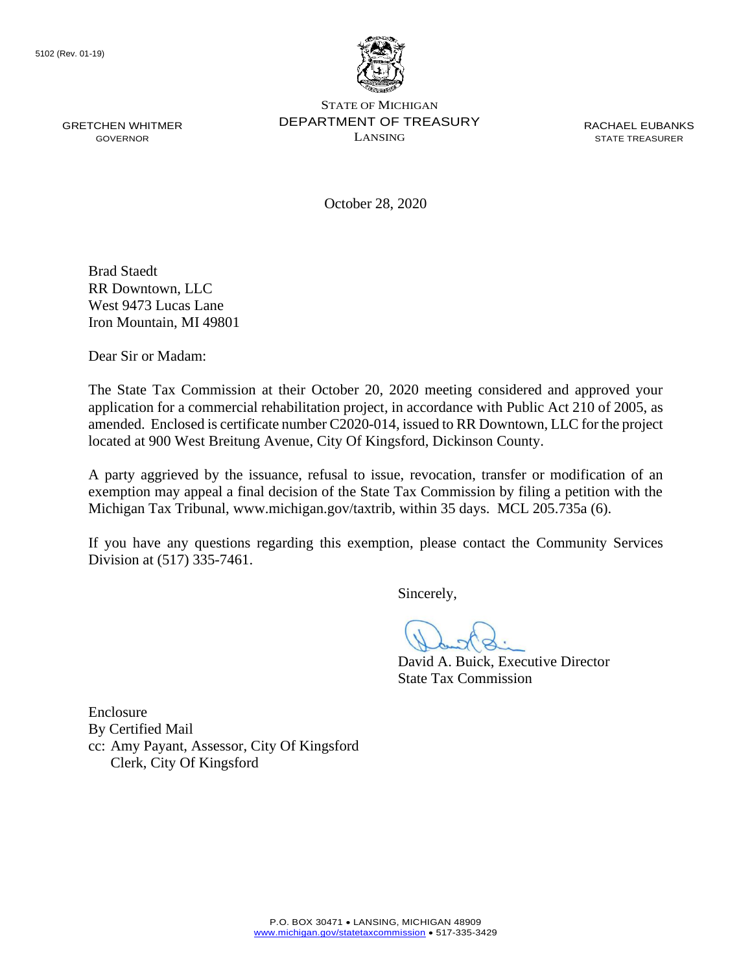

October 28, 2020

Brad Staedt RR Downtown, LLC West 9473 Lucas Lane Iron Mountain, MI 49801

Dear Sir or Madam:

 amended. Enclosed is certificate number C2020-014, issued to RR Downtown, LLC for the project The State Tax Commission at their October 20, 2020 meeting considered and approved your application for a commercial rehabilitation project, in accordance with Public Act 210 of 2005, as located at 900 West Breitung Avenue, City Of Kingsford, Dickinson County.

 exemption may appeal a final decision of the State Tax Commission by filing a petition with the A party aggrieved by the issuance, refusal to issue, revocation, transfer or modification of an Michigan Tax Tribunal, <www.michigan.gov/taxtrib>, within 35 days. MCL 205.735a (6).

 If you have any questions regarding this exemption, please contact the Community Services Division at (517) 335-7461.

Sincerely,

David A. Buick, Executive Director State Tax Commission

Enclosure By Certified Mail cc: Amy Payant, Assessor, City Of Kingsford Clerk, City Of Kingsford